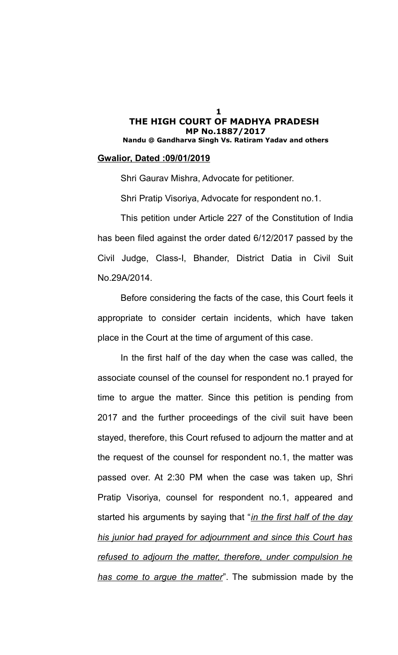#### **Gwalior, Dated :09/01/2019**

Shri Gaurav Mishra, Advocate for petitioner.

Shri Pratip Visoriya, Advocate for respondent no.1.

This petition under Article 227 of the Constitution of India has been filed against the order dated 6/12/2017 passed by the Civil Judge, Class-I, Bhander, District Datia in Civil Suit No.29A/2014.

Before considering the facts of the case, this Court feels it appropriate to consider certain incidents, which have taken place in the Court at the time of argument of this case.

In the first half of the day when the case was called, the associate counsel of the counsel for respondent no.1 prayed for time to argue the matter. Since this petition is pending from 2017 and the further proceedings of the civil suit have been stayed, therefore, this Court refused to adjourn the matter and at the request of the counsel for respondent no.1, the matter was passed over. At 2:30 PM when the case was taken up, Shri Pratip Visoriya, counsel for respondent no.1, appeared and started his arguments by saying that "*in the first half of the day his junior had prayed for adjournment and since this Court has refused to adjourn the matter, therefore, under compulsion he has come to argue the matter*". The submission made by the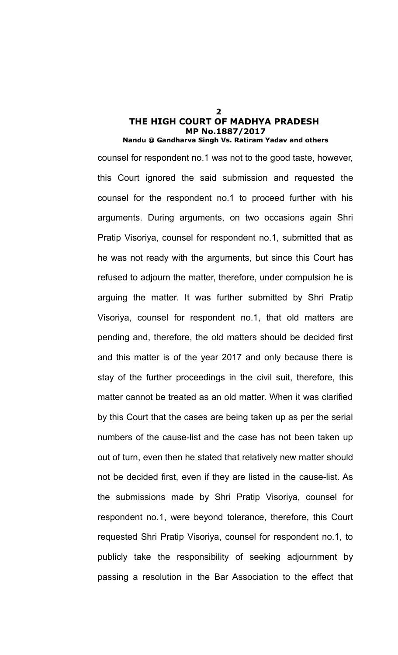counsel for respondent no.1 was not to the good taste, however, this Court ignored the said submission and requested the counsel for the respondent no.1 to proceed further with his arguments. During arguments, on two occasions again Shri Pratip Visoriya, counsel for respondent no.1, submitted that as he was not ready with the arguments, but since this Court has refused to adjourn the matter, therefore, under compulsion he is arguing the matter. It was further submitted by Shri Pratip Visoriya, counsel for respondent no.1, that old matters are pending and, therefore, the old matters should be decided first and this matter is of the year 2017 and only because there is stay of the further proceedings in the civil suit, therefore, this matter cannot be treated as an old matter. When it was clarified by this Court that the cases are being taken up as per the serial numbers of the cause-list and the case has not been taken up out of turn, even then he stated that relatively new matter should not be decided first, even if they are listed in the cause-list. As the submissions made by Shri Pratip Visoriya, counsel for respondent no.1, were beyond tolerance, therefore, this Court requested Shri Pratip Visoriya, counsel for respondent no.1, to publicly take the responsibility of seeking adjournment by passing a resolution in the Bar Association to the effect that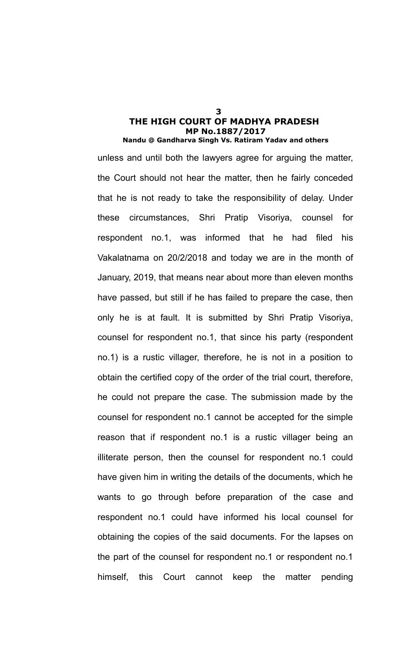unless and until both the lawyers agree for arguing the matter, the Court should not hear the matter, then he fairly conceded that he is not ready to take the responsibility of delay. Under these circumstances, Shri Pratip Visoriya, counsel for respondent no.1, was informed that he had filed his Vakalatnama on 20/2/2018 and today we are in the month of January, 2019, that means near about more than eleven months have passed, but still if he has failed to prepare the case, then only he is at fault. It is submitted by Shri Pratip Visoriya, counsel for respondent no.1, that since his party (respondent no.1) is a rustic villager, therefore, he is not in a position to obtain the certified copy of the order of the trial court, therefore, he could not prepare the case. The submission made by the counsel for respondent no.1 cannot be accepted for the simple reason that if respondent no.1 is a rustic villager being an illiterate person, then the counsel for respondent no.1 could have given him in writing the details of the documents, which he wants to go through before preparation of the case and respondent no.1 could have informed his local counsel for obtaining the copies of the said documents. For the lapses on the part of the counsel for respondent no.1 or respondent no.1 himself, this Court cannot keep the matter pending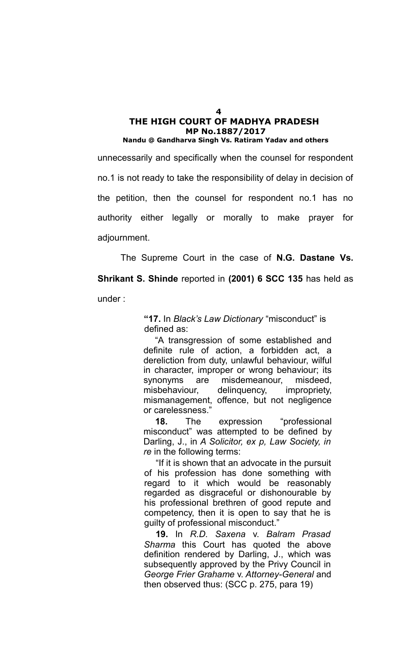unnecessarily and specifically when the counsel for respondent no.1 is not ready to take the responsibility of delay in decision of the petition, then the counsel for respondent no.1 has no authority either legally or morally to make prayer for adjournment.

The Supreme Court in the case of **N.G. Dastane Vs.**

**Shrikant S. Shinde** reported in **(2001) 6 SCC 135** has held as under :

> **"17.** In *Black's Law Dictionary* "misconduct" is defined as:

"A transgression of some established and definite rule of action, a forbidden act, a dereliction from duty, unlawful behaviour, wilful in character, improper or wrong behaviour; its synonyms are misdemeanour, misdeed, misbehaviour, delinquency, impropriety, mismanagement, offence, but not negligence or carelessness."

**18.** The expression "professional misconduct" was attempted to be defined by Darling, J., in *A Solicitor, ex p, Law Society, in re* in the following terms:

"If it is shown that an advocate in the pursuit of his profession has done something with regard to it which would be reasonably regarded as disgraceful or dishonourable by his professional brethren of good repute and competency, then it is open to say that he is guilty of professional misconduct."

**19.** In *R.D. Saxena* v. *Balram Prasad Sharma* this Court has quoted the above definition rendered by Darling, J., which was subsequently approved by the Privy Council in *George Frier Grahame* v. *Attorney-General* and then observed thus: (SCC p. 275, para 19)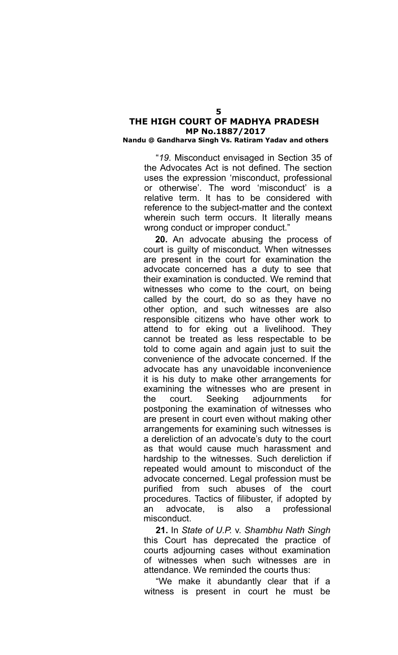### **Nandu @ Gandharva Singh Vs. Ratiram Yadav and others**

"*19*. Misconduct envisaged in Section 35 of the Advocates Act is not defined. The section uses the expression 'misconduct, professional or otherwise'. The word 'misconduct' is a relative term. It has to be considered with reference to the subject-matter and the context wherein such term occurs. It literally means wrong conduct or improper conduct."

**20.** An advocate abusing the process of court is guilty of misconduct. When witnesses are present in the court for examination the advocate concerned has a duty to see that their examination is conducted. We remind that witnesses who come to the court, on being called by the court, do so as they have no other option, and such witnesses are also responsible citizens who have other work to attend to for eking out a livelihood. They cannot be treated as less respectable to be told to come again and again just to suit the convenience of the advocate concerned. If the advocate has any unavoidable inconvenience it is his duty to make other arrangements for examining the witnesses who are present in the court. Seeking adjournments for postponing the examination of witnesses who are present in court even without making other arrangements for examining such witnesses is a dereliction of an advocate's duty to the court as that would cause much harassment and hardship to the witnesses. Such dereliction if repeated would amount to misconduct of the advocate concerned. Legal profession must be purified from such abuses of the court procedures. Tactics of filibuster, if adopted by an advocate, is also a professional misconduct.

**21.** In *State of U.P.* v. *Shambhu Nath Singh* this Court has deprecated the practice of courts adjourning cases without examination of witnesses when such witnesses are in attendance. We reminded the courts thus:

"We make it abundantly clear that if a witness is present in court he must be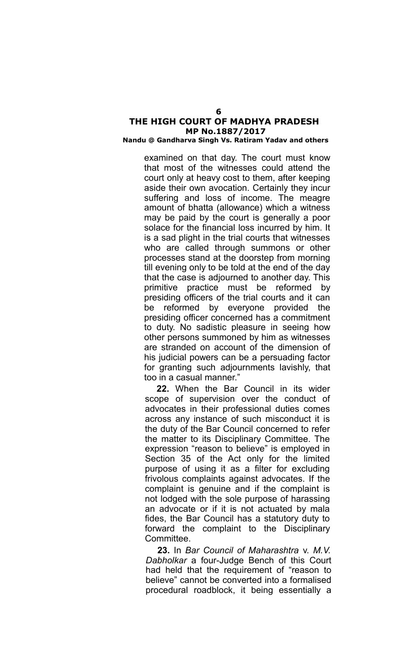## **Nandu @ Gandharva Singh Vs. Ratiram Yadav and others**

examined on that day. The court must know that most of the witnesses could attend the court only at heavy cost to them, after keeping aside their own avocation. Certainly they incur suffering and loss of income. The meagre amount of bhatta (allowance) which a witness may be paid by the court is generally a poor solace for the financial loss incurred by him. It is a sad plight in the trial courts that witnesses who are called through summons or other processes stand at the doorstep from morning till evening only to be told at the end of the day that the case is adjourned to another day. This primitive practice must be reformed by presiding officers of the trial courts and it can be reformed by everyone provided the presiding officer concerned has a commitment to duty. No sadistic pleasure in seeing how other persons summoned by him as witnesses are stranded on account of the dimension of his judicial powers can be a persuading factor for granting such adjournments lavishly, that too in a casual manner."

**22.** When the Bar Council in its wider scope of supervision over the conduct of advocates in their professional duties comes across any instance of such misconduct it is the duty of the Bar Council concerned to refer the matter to its Disciplinary Committee. The expression "reason to believe" is employed in Section 35 of the Act only for the limited purpose of using it as a filter for excluding frivolous complaints against advocates. If the complaint is genuine and if the complaint is not lodged with the sole purpose of harassing an advocate or if it is not actuated by mala fides, the Bar Council has a statutory duty to forward the complaint to the Disciplinary Committee.

**23.** In *Bar Council of Maharashtra* v. *M.V. Dabholkar* a four-Judge Bench of this Court had held that the requirement of "reason to believe" cannot be converted into a formalised procedural roadblock, it being essentially a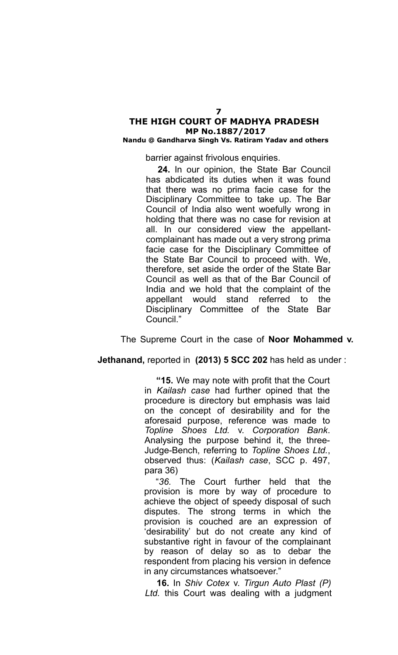#### **Nandu @ Gandharva Singh Vs. Ratiram Yadav and others**

barrier against frivolous enquiries.

**24.** In our opinion, the State Bar Council has abdicated its duties when it was found that there was no prima facie case for the Disciplinary Committee to take up. The Bar Council of India also went woefully wrong in holding that there was no case for revision at all. In our considered view the appellantcomplainant has made out a very strong prima facie case for the Disciplinary Committee of the State Bar Council to proceed with. We, therefore, set aside the order of the State Bar Council as well as that of the Bar Council of India and we hold that the complaint of the appellant would stand referred to the Disciplinary Committee of the State Bar Council."

### The Supreme Court in the case of **Noor Mohammed v.**

**Jethanand,** reported in **(2013) 5 SCC 202** has held as under :

**"15.** We may note with profit that the Court in *Kailash case* had further opined that the procedure is directory but emphasis was laid on the concept of desirability and for the aforesaid purpose, reference was made to *Topline Shoes Ltd.* v. *Corporation Bank*. Analysing the purpose behind it, the three-Judge-Bench, referring to *Topline Shoes Ltd.*, observed thus: (*Kailash case*, SCC p. 497, para 36)

"*36.* The Court further held that the provision is more by way of procedure to achieve the object of speedy disposal of such disputes. The strong terms in which the provision is couched are an expression of 'desirability' but do not create any kind of substantive right in favour of the complainant by reason of delay so as to debar the respondent from placing his version in defence in any circumstances whatsoever."

**16.** In *Shiv Cotex* v. *Tirgun Auto Plast (P) Ltd.* this Court was dealing with a judgment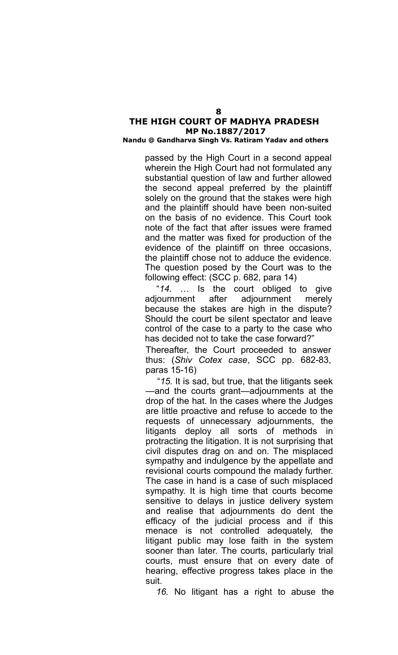#### **Nandu @ Gandharva Singh Vs. Ratiram Yadav and others**

passed by the High Court in a second appeal wherein the High Court had not formulated any substantial question of law and further allowed the second appeal preferred by the plaintiff solely on the ground that the stakes were high and the plaintiff should have been non-suited on the basis of no evidence. This Court took note of the fact that after issues were framed and the matter was fixed for production of the evidence of the plaintiff on three occasions, the plaintiff chose not to adduce the evidence. The question posed by the Court was to the following effect: (SCC p. 682, para 14)

"*14.* … Is the court obliged to give adjournment after adjournment merely because the stakes are high in the dispute? Should the court be silent spectator and leave control of the case to a party to the case who has decided not to take the case forward?"

Thereafter, the Court proceeded to answer thus: (*Shiv Cotex case*, SCC pp. 682-83, paras 15-16)

"*15.* It is sad, but true, that the litigants seek —and the courts grant—adjournments at the drop of the hat. In the cases where the Judges are little proactive and refuse to accede to the requests of unnecessary adjournments, the litigants deploy all sorts of methods in protracting the litigation. It is not surprising that civil disputes drag on and on. The misplaced sympathy and indulgence by the appellate and revisional courts compound the malady further. The case in hand is a case of such misplaced sympathy. It is high time that courts become sensitive to delays in justice delivery system and realise that adjournments do dent the efficacy of the judicial process and if this menace is not controlled adequately, the litigant public may lose faith in the system sooner than later. The courts, particularly trial courts, must ensure that on every date of hearing, effective progress takes place in the suit.

*16.* No litigant has a right to abuse the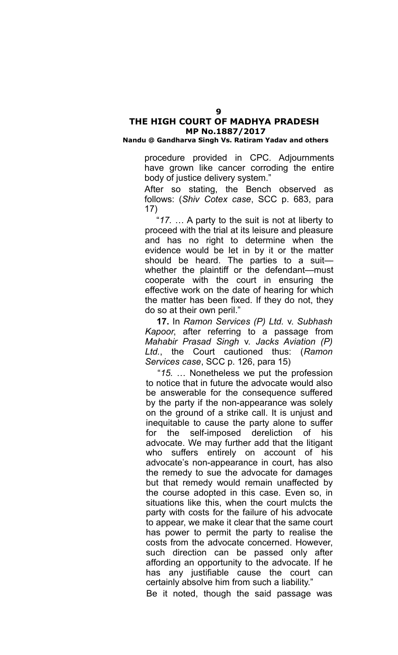### **Nandu @ Gandharva Singh Vs. Ratiram Yadav and others**

procedure provided in CPC. Adjournments have grown like cancer corroding the entire body of justice delivery system."

After so stating, the Bench observed as follows: (*Shiv Cotex case*, SCC p. 683, para 17)

"*17.* … A party to the suit is not at liberty to proceed with the trial at its leisure and pleasure and has no right to determine when the evidence would be let in by it or the matter should be heard. The parties to a suit whether the plaintiff or the defendant—must cooperate with the court in ensuring the effective work on the date of hearing for which the matter has been fixed. If they do not, they do so at their own peril."

**17.** In *Ramon Services (P) Ltd.* v. *Subhash Kapoor*, after referring to a passage from *Mahabir Prasad Singh* v. *Jacks Aviation (P) Ltd.*, the Court cautioned thus: (*Ramon Services case*, SCC p. 126, para 15)

"*15.* … Nonetheless we put the profession to notice that in future the advocate would also be answerable for the consequence suffered by the party if the non-appearance was solely on the ground of a strike call. It is unjust and inequitable to cause the party alone to suffer for the self-imposed dereliction of his advocate. We may further add that the litigant who suffers entirely on account of his advocate's non-appearance in court, has also the remedy to sue the advocate for damages but that remedy would remain unaffected by the course adopted in this case. Even so, in situations like this, when the court mulcts the party with costs for the failure of his advocate to appear, we make it clear that the same court has power to permit the party to realise the costs from the advocate concerned. However, such direction can be passed only after affording an opportunity to the advocate. If he has any justifiable cause the court can certainly absolve him from such a liability."

Be it noted, though the said passage was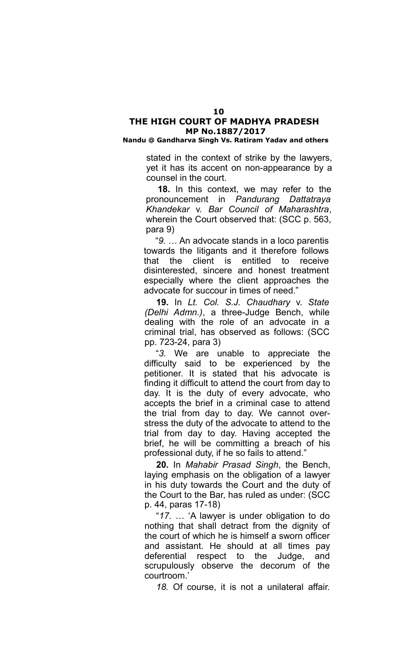**Nandu @ Gandharva Singh Vs. Ratiram Yadav and others**

stated in the context of strike by the lawyers, yet it has its accent on non-appearance by a counsel in the court.

**18.** In this context, we may refer to the pronouncement in *Pandurang Dattatraya Khandekar* v. *Bar Council of Maharashtra*, wherein the Court observed that: (SCC p. 563, para 9)

"*9.* … An advocate stands in a loco parentis towards the litigants and it therefore follows that the client is entitled to receive disinterested, sincere and honest treatment especially where the client approaches the advocate for succour in times of need."

**19.** In *Lt. Col. S.J. Chaudhary* v. *State (Delhi Admn.)*, a three-Judge Bench, while dealing with the role of an advocate in a criminal trial, has observed as follows: (SCC pp. 723-24, para 3)

"*3.* We are unable to appreciate the difficulty said to be experienced by the petitioner. It is stated that his advocate is finding it difficult to attend the court from day to day. It is the duty of every advocate, who accepts the brief in a criminal case to attend the trial from day to day. We cannot overstress the duty of the advocate to attend to the trial from day to day. Having accepted the brief, he will be committing a breach of his professional duty, if he so fails to attend."

**20.** In *Mahabir Prasad Singh*, the Bench, laying emphasis on the obligation of a lawyer in his duty towards the Court and the duty of the Court to the Bar, has ruled as under: (SCC p. 44, paras 17-18)

"*17.* … 'A lawyer is under obligation to do nothing that shall detract from the dignity of the court of which he is himself a sworn officer and assistant. He should at all times pay deferential respect to the Judge, and scrupulously observe the decorum of the courtroom.'

*18.* Of course, it is not a unilateral affair.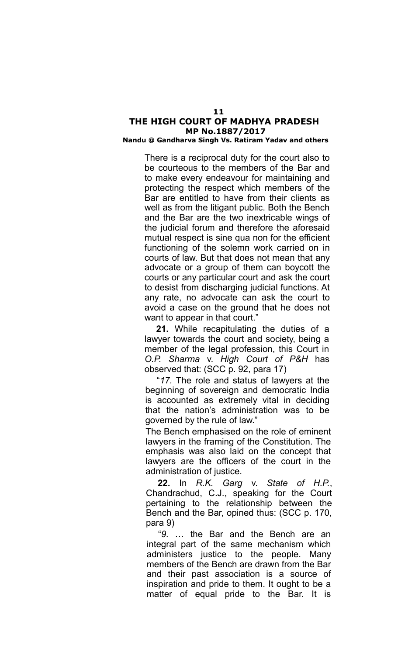### **Nandu @ Gandharva Singh Vs. Ratiram Yadav and others**

There is a reciprocal duty for the court also to be courteous to the members of the Bar and to make every endeavour for maintaining and protecting the respect which members of the Bar are entitled to have from their clients as well as from the litigant public. Both the Bench and the Bar are the two inextricable wings of the judicial forum and therefore the aforesaid mutual respect is sine qua non for the efficient functioning of the solemn work carried on in courts of law. But that does not mean that any advocate or a group of them can boycott the courts or any particular court and ask the court to desist from discharging judicial functions. At any rate, no advocate can ask the court to avoid a case on the ground that he does not want to appear in that court."

**21.** While recapitulating the duties of a lawyer towards the court and society, being a member of the legal profession, this Court in *O.P. Sharma* v. *High Court of P&H* has observed that: (SCC p. 92, para 17)

"*17.* The role and status of lawyers at the beginning of sovereign and democratic India is accounted as extremely vital in deciding that the nation's administration was to be governed by the rule of law."

The Bench emphasised on the role of eminent lawyers in the framing of the Constitution. The emphasis was also laid on the concept that lawyers are the officers of the court in the administration of justice.

**22.** In *R.K. Garg* v. *State of H.P.*, Chandrachud, C.J., speaking for the Court pertaining to the relationship between the Bench and the Bar, opined thus: (SCC p. 170, para 9)

"*9.* … the Bar and the Bench are an integral part of the same mechanism which administers justice to the people. Many members of the Bench are drawn from the Bar and their past association is a source of inspiration and pride to them. It ought to be a matter of equal pride to the Bar. It is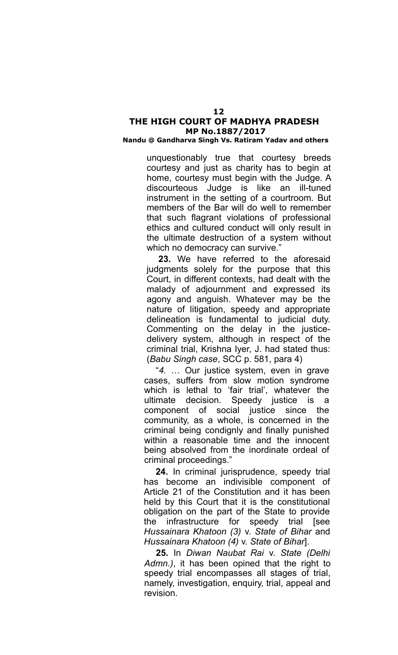### **Nandu @ Gandharva Singh Vs. Ratiram Yadav and others**

unquestionably true that courtesy breeds courtesy and just as charity has to begin at home, courtesy must begin with the Judge. A discourteous Judge is like an ill-tuned instrument in the setting of a courtroom. But members of the Bar will do well to remember that such flagrant violations of professional ethics and cultured conduct will only result in the ultimate destruction of a system without which no democracy can survive."

**23.** We have referred to the aforesaid judgments solely for the purpose that this Court, in different contexts, had dealt with the malady of adjournment and expressed its agony and anguish. Whatever may be the nature of litigation, speedy and appropriate delineation is fundamental to judicial duty. Commenting on the delay in the justicedelivery system, although in respect of the criminal trial, Krishna Iyer, J. had stated thus: (*Babu Singh case*, SCC p. 581, para 4)

"*4.* … Our justice system, even in grave cases, suffers from slow motion syndrome which is lethal to 'fair trial', whatever the ultimate decision. Speedy justice is a component of social justice since the community, as a whole, is concerned in the criminal being condignly and finally punished within a reasonable time and the innocent being absolved from the inordinate ordeal of criminal proceedings."

**24.** In criminal jurisprudence, speedy trial has become an indivisible component of Article 21 of the Constitution and it has been held by this Court that it is the constitutional obligation on the part of the State to provide the infrastructure for speedy trial [see *Hussainara Khatoon (3)* v. *State of Bihar* and *Hussainara Khatoon (4)* v. *State of Bihar*].

**25.** In *Diwan Naubat Rai* v. *State (Delhi Admn.)*, it has been opined that the right to speedy trial encompasses all stages of trial, namely, investigation, enquiry, trial, appeal and revision.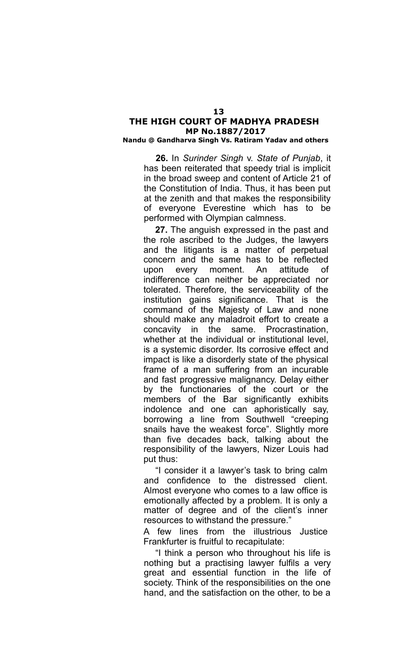#### **Nandu @ Gandharva Singh Vs. Ratiram Yadav and others**

**26.** In *Surinder Singh* v. *State of Punjab*, it has been reiterated that speedy trial is implicit in the broad sweep and content of Article 21 of the Constitution of India. Thus, it has been put at the zenith and that makes the responsibility of everyone Everestine which has to be performed with Olympian calmness.

**27.** The anguish expressed in the past and the role ascribed to the Judges, the lawyers and the litigants is a matter of perpetual concern and the same has to be reflected upon every moment. An attitude of indifference can neither be appreciated nor tolerated. Therefore, the serviceability of the institution gains significance. That is the command of the Majesty of Law and none should make any maladroit effort to create a concavity in the same. Procrastination, whether at the individual or institutional level, is a systemic disorder. Its corrosive effect and impact is like a disorderly state of the physical frame of a man suffering from an incurable and fast progressive malignancy. Delay either by the functionaries of the court or the members of the Bar significantly exhibits indolence and one can aphoristically say, borrowing a line from Southwell "creeping snails have the weakest force". Slightly more than five decades back, talking about the responsibility of the lawyers, Nizer Louis had put thus:

"I consider it a lawyer's task to bring calm and confidence to the distressed client. Almost everyone who comes to a law office is emotionally affected by a problem. It is only a matter of degree and of the client's inner resources to withstand the pressure."

A few lines from the illustrious Justice Frankfurter is fruitful to recapitulate:

"I think a person who throughout his life is nothing but a practising lawyer fulfils a very great and essential function in the life of society. Think of the responsibilities on the one hand, and the satisfaction on the other, to be a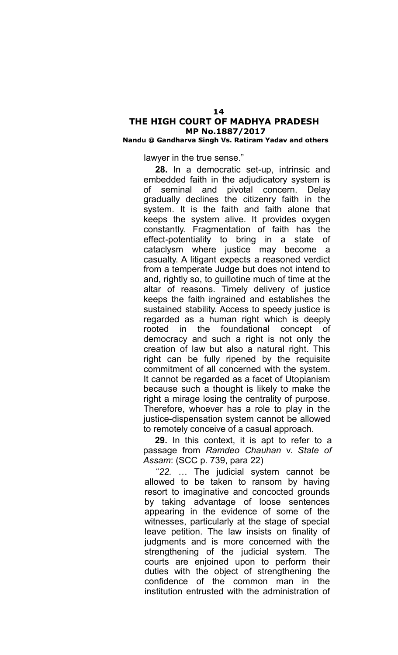### **Nandu @ Gandharva Singh Vs. Ratiram Yadav and others**

lawyer in the true sense."

**28.** In a democratic set-up, intrinsic and embedded faith in the adjudicatory system is of seminal and pivotal concern. Delay gradually declines the citizenry faith in the system. It is the faith and faith alone that keeps the system alive. It provides oxygen constantly. Fragmentation of faith has the effect-potentiality to bring in a state of cataclysm where justice may become a casualty. A litigant expects a reasoned verdict from a temperate Judge but does not intend to and, rightly so, to guillotine much of time at the altar of reasons. Timely delivery of justice keeps the faith ingrained and establishes the sustained stability. Access to speedy justice is regarded as a human right which is deeply rooted in the foundational concept of democracy and such a right is not only the creation of law but also a natural right. This right can be fully ripened by the requisite commitment of all concerned with the system. It cannot be regarded as a facet of Utopianism because such a thought is likely to make the right a mirage losing the centrality of purpose. Therefore, whoever has a role to play in the justice-dispensation system cannot be allowed to remotely conceive of a casual approach.

**29.** In this context, it is apt to refer to a passage from *Ramdeo Chauhan* v. *State of Assam*: (SCC p. 739, para 22)

"*22.* … The judicial system cannot be allowed to be taken to ransom by having resort to imaginative and concocted grounds by taking advantage of loose sentences appearing in the evidence of some of the witnesses, particularly at the stage of special leave petition. The law insists on finality of judgments and is more concerned with the strengthening of the judicial system. The courts are enjoined upon to perform their duties with the object of strengthening the confidence of the common man in the institution entrusted with the administration of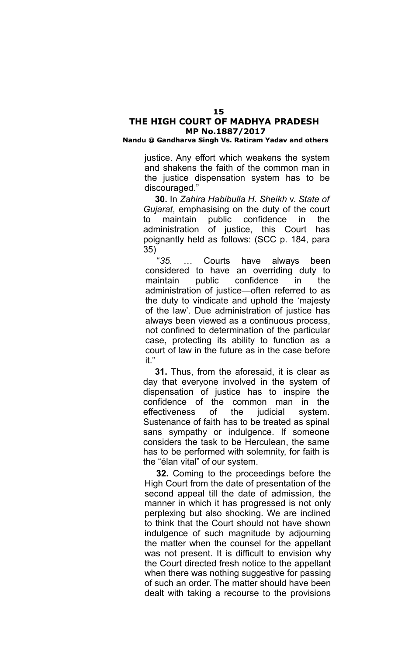#### **Nandu @ Gandharva Singh Vs. Ratiram Yadav and others**

justice. Any effort which weakens the system and shakens the faith of the common man in the justice dispensation system has to be discouraged."

**30.** In *Zahira Habibulla H. Sheikh* v. *State of Gujarat*, emphasising on the duty of the court to maintain public confidence in the administration of justice, this Court has poignantly held as follows: (SCC p. 184, para 35)

"*35.* … Courts have always been considered to have an overriding duty to maintain public confidence in the administration of justice—often referred to as the duty to vindicate and uphold the 'majesty of the law'. Due administration of justice has always been viewed as a continuous process, not confined to determination of the particular case, protecting its ability to function as a court of law in the future as in the case before it."

**31.** Thus, from the aforesaid, it is clear as day that everyone involved in the system of dispensation of justice has to inspire the confidence of the common man in the effectiveness of the judicial system. Sustenance of faith has to be treated as spinal sans sympathy or indulgence. If someone considers the task to be Herculean, the same has to be performed with solemnity, for faith is the "élan vital" of our system.

**32.** Coming to the proceedings before the High Court from the date of presentation of the second appeal till the date of admission, the manner in which it has progressed is not only perplexing but also shocking. We are inclined to think that the Court should not have shown indulgence of such magnitude by adjourning the matter when the counsel for the appellant was not present. It is difficult to envision why the Court directed fresh notice to the appellant when there was nothing suggestive for passing of such an order. The matter should have been dealt with taking a recourse to the provisions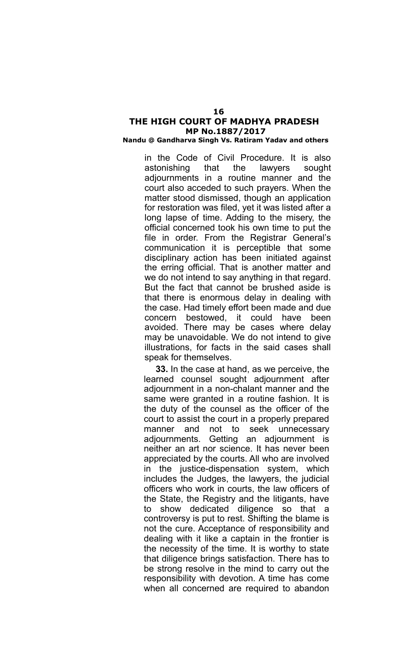#### **Nandu @ Gandharva Singh Vs. Ratiram Yadav and others**

in the Code of Civil Procedure. It is also astonishing that the lawyers sought adjournments in a routine manner and the court also acceded to such prayers. When the matter stood dismissed, though an application for restoration was filed, yet it was listed after a long lapse of time. Adding to the misery, the official concerned took his own time to put the file in order. From the Registrar General's communication it is perceptible that some disciplinary action has been initiated against the erring official. That is another matter and we do not intend to say anything in that regard. But the fact that cannot be brushed aside is that there is enormous delay in dealing with the case. Had timely effort been made and due concern bestowed, it could have been avoided. There may be cases where delay may be unavoidable. We do not intend to give illustrations, for facts in the said cases shall speak for themselves.

**33.** In the case at hand, as we perceive, the learned counsel sought adjournment after adjournment in a non-chalant manner and the same were granted in a routine fashion. It is the duty of the counsel as the officer of the court to assist the court in a properly prepared manner and not to seek unnecessary adjournments. Getting an adjournment is neither an art nor science. It has never been appreciated by the courts. All who are involved in the justice-dispensation system, which includes the Judges, the lawyers, the judicial officers who work in courts, the law officers of the State, the Registry and the litigants, have to show dedicated diligence so that a controversy is put to rest. Shifting the blame is not the cure. Acceptance of responsibility and dealing with it like a captain in the frontier is the necessity of the time. It is worthy to state that diligence brings satisfaction. There has to be strong resolve in the mind to carry out the responsibility with devotion. A time has come when all concerned are required to abandon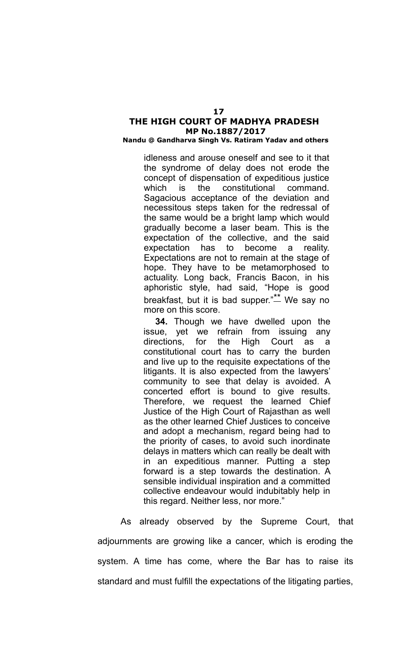#### **Nandu @ Gandharva Singh Vs. Ratiram Yadav and others**

idleness and arouse oneself and see to it that the syndrome of delay does not erode the concept of dispensation of expeditious justice which is the constitutional command. Sagacious acceptance of the deviation and necessitous steps taken for the redressal of the same would be a bright lamp which would gradually become a laser beam. This is the expectation of the collective, and the said expectation has to become a reality. Expectations are not to remain at the stage of hope. They have to be metamorphosed to actuality. Long back, Francis Bacon, in his aphoristic style, had said, "Hope is good breakfast, but it is bad supper."<sup>\*\*</sup> We say no more on this score.

**34.** Though we have dwelled upon the issue, yet we refrain from issuing any directions, for the High Court as a constitutional court has to carry the burden and live up to the requisite expectations of the litigants. It is also expected from the lawyers' community to see that delay is avoided. A concerted effort is bound to give results. Therefore, we request the learned Chief Justice of the High Court of Rajasthan as well as the other learned Chief Justices to conceive and adopt a mechanism, regard being had to the priority of cases, to avoid such inordinate delays in matters which can really be dealt with in an expeditious manner. Putting a step forward is a step towards the destination. A sensible individual inspiration and a committed collective endeavour would indubitably help in this regard. Neither less, nor more."

As already observed by the Supreme Court, that adjournments are growing like a cancer, which is eroding the system. A time has come, where the Bar has to raise its standard and must fulfill the expectations of the litigating parties,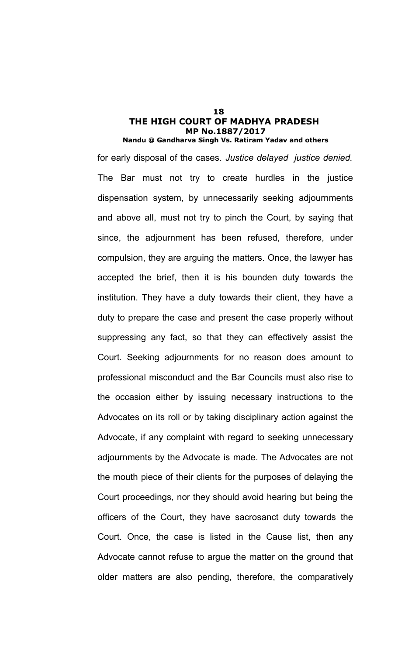for early disposal of the cases. *Justice delayed justice denied.* The Bar must not try to create hurdles in the justice dispensation system, by unnecessarily seeking adjournments and above all, must not try to pinch the Court, by saying that since, the adjournment has been refused, therefore, under compulsion, they are arguing the matters. Once, the lawyer has accepted the brief, then it is his bounden duty towards the institution. They have a duty towards their client, they have a duty to prepare the case and present the case properly without suppressing any fact, so that they can effectively assist the Court. Seeking adjournments for no reason does amount to professional misconduct and the Bar Councils must also rise to the occasion either by issuing necessary instructions to the Advocates on its roll or by taking disciplinary action against the Advocate, if any complaint with regard to seeking unnecessary adjournments by the Advocate is made. The Advocates are not the mouth piece of their clients for the purposes of delaying the Court proceedings, nor they should avoid hearing but being the officers of the Court, they have sacrosanct duty towards the Court. Once, the case is listed in the Cause list, then any Advocate cannot refuse to argue the matter on the ground that older matters are also pending, therefore, the comparatively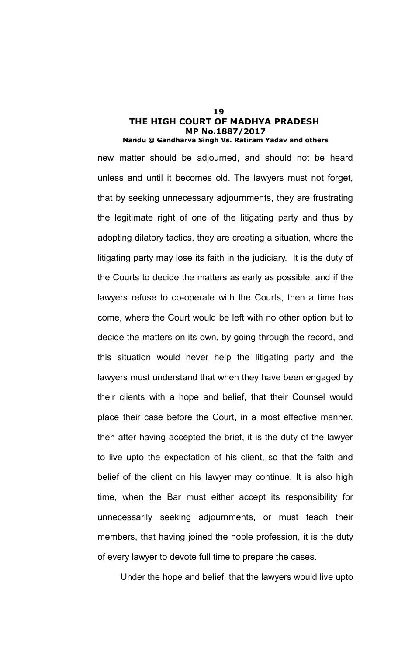new matter should be adjourned, and should not be heard unless and until it becomes old. The lawyers must not forget, that by seeking unnecessary adjournments, they are frustrating the legitimate right of one of the litigating party and thus by adopting dilatory tactics, they are creating a situation, where the litigating party may lose its faith in the judiciary. It is the duty of the Courts to decide the matters as early as possible, and if the lawyers refuse to co-operate with the Courts, then a time has come, where the Court would be left with no other option but to decide the matters on its own, by going through the record, and this situation would never help the litigating party and the lawyers must understand that when they have been engaged by their clients with a hope and belief, that their Counsel would place their case before the Court, in a most effective manner, then after having accepted the brief, it is the duty of the lawyer to live upto the expectation of his client, so that the faith and belief of the client on his lawyer may continue. It is also high time, when the Bar must either accept its responsibility for unnecessarily seeking adjournments, or must teach their members, that having joined the noble profession, it is the duty of every lawyer to devote full time to prepare the cases.

Under the hope and belief, that the lawyers would live upto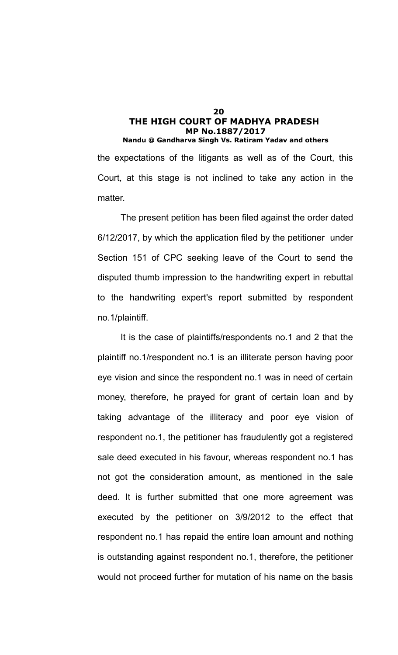the expectations of the litigants as well as of the Court, this Court, at this stage is not inclined to take any action in the matter.

The present petition has been filed against the order dated 6/12/2017, by which the application filed by the petitioner under Section 151 of CPC seeking leave of the Court to send the disputed thumb impression to the handwriting expert in rebuttal to the handwriting expert's report submitted by respondent no.1/plaintiff.

It is the case of plaintiffs/respondents no.1 and 2 that the plaintiff no.1/respondent no.1 is an illiterate person having poor eye vision and since the respondent no.1 was in need of certain money, therefore, he prayed for grant of certain loan and by taking advantage of the illiteracy and poor eye vision of respondent no.1, the petitioner has fraudulently got a registered sale deed executed in his favour, whereas respondent no.1 has not got the consideration amount, as mentioned in the sale deed. It is further submitted that one more agreement was executed by the petitioner on 3/9/2012 to the effect that respondent no.1 has repaid the entire loan amount and nothing is outstanding against respondent no.1, therefore, the petitioner would not proceed further for mutation of his name on the basis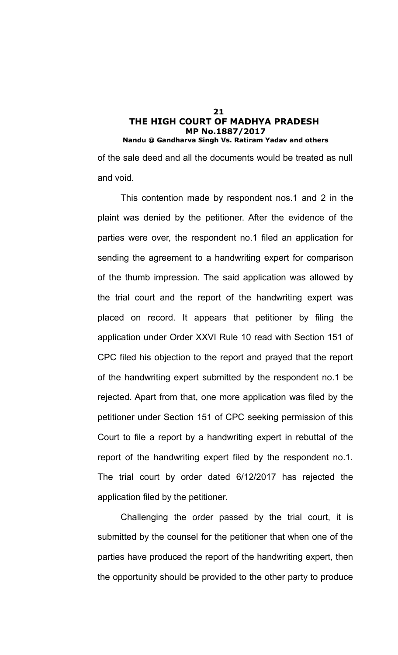of the sale deed and all the documents would be treated as null and void.

This contention made by respondent nos.1 and 2 in the plaint was denied by the petitioner. After the evidence of the parties were over, the respondent no.1 filed an application for sending the agreement to a handwriting expert for comparison of the thumb impression. The said application was allowed by the trial court and the report of the handwriting expert was placed on record. It appears that petitioner by filing the application under Order XXVI Rule 10 read with Section 151 of CPC filed his objection to the report and prayed that the report of the handwriting expert submitted by the respondent no.1 be rejected. Apart from that, one more application was filed by the petitioner under Section 151 of CPC seeking permission of this Court to file a report by a handwriting expert in rebuttal of the report of the handwriting expert filed by the respondent no.1. The trial court by order dated 6/12/2017 has rejected the application filed by the petitioner.

Challenging the order passed by the trial court, it is submitted by the counsel for the petitioner that when one of the parties have produced the report of the handwriting expert, then the opportunity should be provided to the other party to produce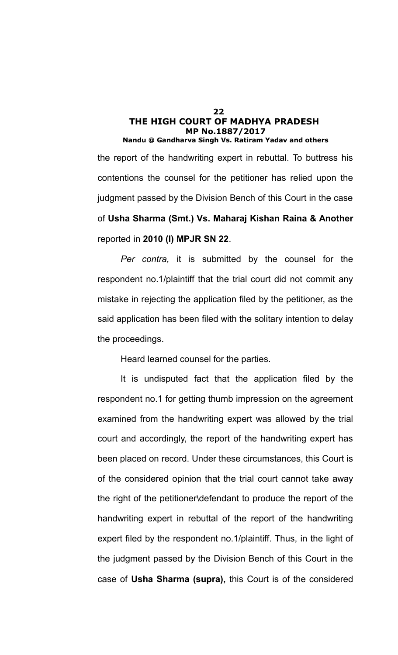the report of the handwriting expert in rebuttal. To buttress his contentions the counsel for the petitioner has relied upon the judgment passed by the Division Bench of this Court in the case of **Usha Sharma (Smt.) Vs. Maharaj Kishan Raina & Another** reported in **2010 (I) MPJR SN 22**.

*Per contra,* it is submitted by the counsel for the respondent no.1/plaintiff that the trial court did not commit any mistake in rejecting the application filed by the petitioner, as the said application has been filed with the solitary intention to delay the proceedings.

Heard learned counsel for the parties.

It is undisputed fact that the application filed by the respondent no.1 for getting thumb impression on the agreement examined from the handwriting expert was allowed by the trial court and accordingly, the report of the handwriting expert has been placed on record. Under these circumstances, this Court is of the considered opinion that the trial court cannot take away the right of the petitioner\defendant to produce the report of the handwriting expert in rebuttal of the report of the handwriting expert filed by the respondent no.1/plaintiff. Thus, in the light of the judgment passed by the Division Bench of this Court in the case of **Usha Sharma (supra),** this Court is of the considered